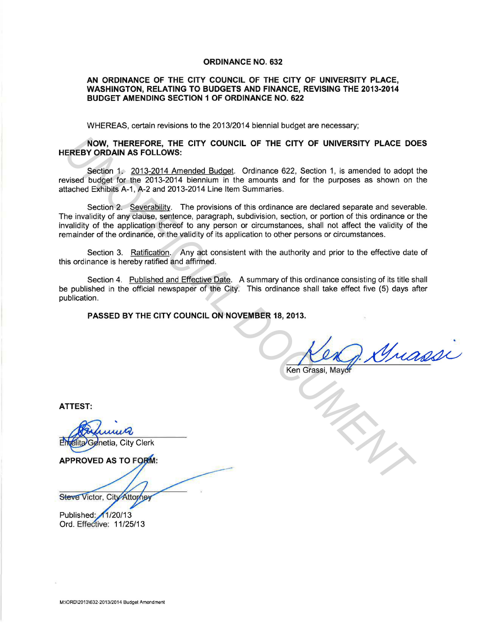#### **ORDINANCE NO. 632**

### **AN ORDINANCE OF THE CITY COUNCIL OF THE CITY OF UNIVERSITY PLACE, WASHINGTON, RELATING TO BUDGETS AND FINANCE, REVISING THE 2013-2014 BUDGET AMENDING SECTION 1 OF ORDINANCE NO. 622**

WHEREAS, certain revisions to the 2013/2014 biennial budget are necessary;

### **NOW, THEREFORE, THE CITY COUNCIL OF THE CITY OF UNIVERSITY PLACE DOES HEREBY ORDAIN AS FOLLOWS:**

Section 1. 2013-2014 Amended Budget. Ordinance 622, Section 1, is amended to adopt the revised budget for the 2013-2014 biennium in the amounts and for the purposes as shown on the attached Exhibits A-1, A-2 and 2013-2014 Line Item Summaries.

Section 2. Severability. The provisions of this ordinance are declared separate and severable. The invalidity of any clause, sentence, paragraph, subdivision, section, or portion of this ordinance or the invalidity of the application thereof to any person or circumstances, shall not affect the validity of the remainder of the ordinance, or the validity of its application to other persons or circumstances. **INCREASE THE CITY COUNCIL OF THE CITY OF UNIVERSITY PLACE DO SCREEN YORDAIN AS FOLLOWS:**<br>
Section 1 - 2013-2014 Amended Budget Ordinance 622, Section 1, is amended to adopt vised budget for the 2013-2014 Amended Budget Or

Section 3. Ratification. Any act consistent with the authority and prior to the effective date of this ordinance is hereby ratified and affirmed.

Section 4. Published and Effective Date. A summary of this ordinance consisting of its title shall be published in the official newspaper of the City. This ordinance shall take effect five (5) days after publication.

**PASSED BY THE CITY COUNCIL ON NOVEMBER 18, 2013.** 

**ATTEST:** 

Steve Victor, City Attorney

Published: 1/20/13

Ord. Effective: 11 /25/13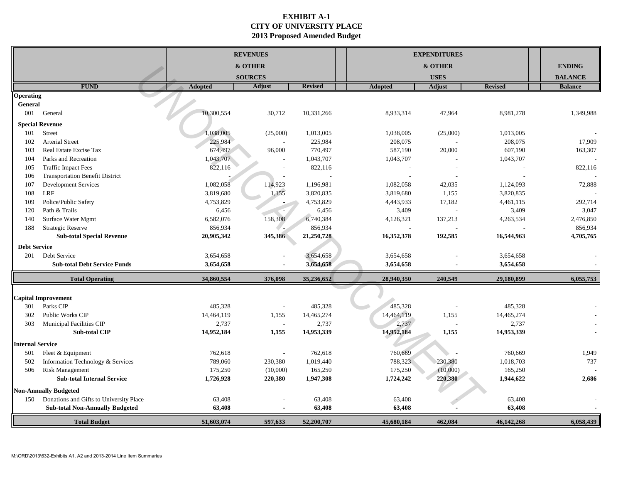# **EXHIBIT A-1 CITY OF UNIVERSITY PLACE 2013 Proposed Amended Budget**

|                         |                                                                   |                | <b>REVENUES</b>          |                |                | <b>EXPENDITURES</b> |                |                |
|-------------------------|-------------------------------------------------------------------|----------------|--------------------------|----------------|----------------|---------------------|----------------|----------------|
|                         |                                                                   |                | & OTHER                  |                |                | & OTHER             |                | <b>ENDING</b>  |
|                         |                                                                   |                | <b>SOURCES</b>           |                |                | <b>USES</b>         |                | <b>BALANCE</b> |
|                         | <b>FUND</b>                                                       | <b>Adopted</b> | <b>Adjust</b>            | <b>Revised</b> | <b>Adopted</b> | <b>Adjust</b>       | <b>Revised</b> | <b>Balance</b> |
| <b>Operating</b>        |                                                                   |                |                          |                |                |                     |                |                |
| General                 |                                                                   |                |                          |                |                |                     |                |                |
| 001                     | General                                                           | 10,300,554     | 30,712                   | 10,331,266     | 8,933,314      | 47,964              | 8,981,278      | 1,349,988      |
|                         | <b>Special Revenue</b>                                            |                |                          |                |                |                     |                |                |
| 101                     | Street                                                            | ,038,005       | (25,000)                 | 1,013,005      | 1,038,005      | (25,000)            | 1,013,005      |                |
| 102                     | <b>Arterial Street</b>                                            | 225,984        |                          | 225,984        | 208,075        |                     | 208,075        | 17,909         |
| 103                     | Real Estate Excise Tax                                            | 674,497        | 96,000                   | 770,497        | 587,190        | 20,000              | 607,190        | 163,307        |
| 104                     | Parks and Recreation                                              | 1,043,707      |                          | 1,043,707      | 1,043,707      |                     | 1,043,707      |                |
| 105                     | <b>Traffic Impact Fees</b>                                        | 822,116        |                          | 822,116        |                |                     |                | 822,116        |
| 106                     | <b>Transportation Benefit District</b>                            |                |                          |                |                |                     |                |                |
| 107                     | <b>Development Services</b>                                       | 1,082,058      | 114,923                  | 1,196,981      | 1,082,058      | 42,035              | 1,124,093      | 72,888         |
| 108                     | <b>LRF</b>                                                        | 3,819,680      | 1,155                    | 3,820,835      | 3,819,680      | 1,155               | 3,820,835      |                |
| 109                     | Police/Public Safety                                              | 4,753,829      |                          | 4,753,829      | 4,443,933      | 17,182              | 4,461,115      | 292,714        |
| 120                     | Path & Trails                                                     | 6,456          |                          | 6,456          | 3,409          |                     | 3,409          | 3,047          |
| 140                     | Surface Water Mgmt                                                | 6,582,076      | 158,308                  | 6,740,384      | 4,126,321      | 137,213             | 4,263,534      | 2,476,850      |
| 188                     | <b>Strategic Reserve</b>                                          | 856,934        |                          | 856,934        |                |                     |                | 856,934        |
|                         | <b>Sub-total Special Revenue</b>                                  | 20,905,342     | 345,386                  | 21,250,728     | 16,352,378     | 192,585             | 16,544,963     | 4,705,765      |
| <b>Debt Service</b>     |                                                                   |                |                          |                |                |                     |                |                |
| 201                     | Debt Service                                                      | 3,654,658      |                          | 3,654,658      | 3,654,658      |                     | 3,654,658      |                |
|                         | <b>Sub-total Debt Service Funds</b>                               | 3,654,658      |                          | 3,654,658      | 3,654,658      |                     | 3,654,658      |                |
|                         | <b>Total Operating</b>                                            | 34,860,554     | 376,098                  | 35,236,652     | 28,940,350     | 240,549             | 29,180,899     | 6,055,753      |
|                         |                                                                   |                |                          |                |                |                     |                |                |
|                         | <b>Capital Improvement</b>                                        |                |                          |                |                |                     |                |                |
| 301                     | Parks CIP                                                         | 485,328        | $\overline{\phantom{a}}$ | 485,328        | 485,328        |                     | 485,328        |                |
| 302                     | Public Works CIP                                                  | 14,464,119     | 1,155                    | 14,465,274     | 14,464,119     | 1,155               | 14,465,274     |                |
| 303                     | <b>Municipal Facilities CIP</b>                                   | 2,737          | $\sim$                   | 2,737          | 2,737          |                     | 2,737          |                |
|                         | <b>Sub-total CIP</b>                                              | 14,952,184     | 1,155                    | 14,953,339     | 14,952,184     | 1,155               | 14,953,339     |                |
| <b>Internal Service</b> |                                                                   |                |                          |                |                |                     |                |                |
| 501                     | Fleet & Equipment                                                 | 762,618        |                          | 762,618        | 760,669        |                     | 760,669        | 1,949          |
| 502                     | Information Technology & Services                                 | 789,060        | 230,380                  | 1,019,440      | 788,323        | 230,380             | 1,018,703      | 737            |
| 506                     | <b>Risk Management</b>                                            | 175,250        | (10,000)                 | 165,250        | 175,250        | (10,000)            | 165,250        |                |
|                         | <b>Sub-total Internal Service</b>                                 | 1,726,928      | 220,380                  | 1,947,308      | 1,724,242      | 220,380             | 1,944,622      | 2,686          |
|                         | <b>Non-Annually Budgeted</b>                                      |                |                          |                |                |                     |                |                |
| 150                     | Donations and Gifts to University Place                           | 63,408         |                          | 63,408         | 63,408         |                     | 63,408         |                |
|                         | <b>Sub-total Non-Annually Budgeted</b>                            | 63,408         |                          | 63,408         | 63,408         |                     | 63,408         |                |
|                         | <b>Total Budget</b>                                               | 51,603,074     | 597,633                  | 52,200,707     | 45,680,184     | 462,084             | 46,142,268     | 6,058,439      |
|                         |                                                                   |                |                          |                |                |                     |                |                |
|                         |                                                                   |                |                          |                |                |                     |                |                |
|                         |                                                                   |                |                          |                |                |                     |                |                |
|                         | M:\ORD\2013\632-Exhibits A1, A2 and 2013-2014 Line Item Summaries |                |                          |                |                |                     |                |                |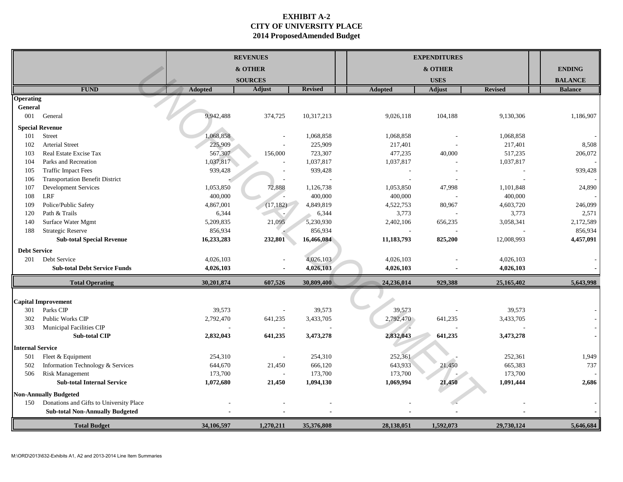# **EXHIBIT A-2 CITY OF UNIVERSITY PLACE 2014 ProposedAmended Budget**

|                         |                                                                   |                      | <b>REVENUES</b> |                |                | <b>EXPENDITURES</b> |                      |                |
|-------------------------|-------------------------------------------------------------------|----------------------|-----------------|----------------|----------------|---------------------|----------------------|----------------|
|                         |                                                                   |                      | & OTHER         |                |                | & OTHER             |                      | <b>ENDING</b>  |
|                         |                                                                   |                      | <b>SOURCES</b>  |                |                | <b>USES</b>         |                      | <b>BALANCE</b> |
|                         | <b>FUND</b>                                                       | <b>Adopted</b>       | Adjust          | <b>Revised</b> | <b>Adopted</b> | <b>Adjust</b>       | <b>Revised</b>       | <b>Balance</b> |
| <b>Operating</b>        |                                                                   |                      |                 |                |                |                     |                      |                |
| General                 |                                                                   |                      |                 |                |                |                     |                      |                |
| 001                     | General                                                           | 9,942,488            | 374,725         | 10,317,213     | 9,026,118      | 104,188             | 9,130,306            | 1,186,907      |
|                         | <b>Special Revenue</b>                                            |                      |                 |                |                |                     |                      |                |
| 101                     | Street                                                            | 1,068,858            |                 | 1,068,858      | 1,068,858      |                     | 1,068,858            |                |
| 102                     | <b>Arterial Street</b><br>Real Estate Excise Tax                  | 225,909              |                 | 225,909        | 217,401        |                     | 217,401              | 8,508          |
| 103<br>104              | Parks and Recreation                                              | 567,307<br>1,037,817 | 156,000         | 723,307        | 477,235        | 40,000              | 517,235<br>1,037,817 | 206,072        |
|                         | <b>Traffic Impact Fees</b>                                        |                      |                 | 1,037,817      | 1,037,817      |                     |                      | 939,428        |
| 105                     |                                                                   | 939,428              |                 | 939,428        |                |                     |                      |                |
| 106                     | <b>Transportation Benefit District</b>                            |                      |                 |                |                |                     |                      |                |
| 107                     | <b>Development Services</b><br><b>LRF</b>                         | 1,053,850            | 72,888          | 1,126,738      | 1,053,850      | 47,998              | 1,101,848            | 24,890         |
| 108                     |                                                                   | 400,000              |                 | 400,000        | 400,000        |                     | 400,000              |                |
| 109                     | Police/Public Safety                                              | 4,867,001            | (17, 182)       | 4,849,819      | 4,522,753      | 80,967              | 4,603,720            | 246,099        |
| 120                     | Path & Trails                                                     | 6,344                |                 | 6,344          | 3,773          |                     | 3,773                | 2,571          |
| 140                     | Surface Water Mgmt                                                | 5,209,835            | 21,095          | 5,230,930      | 2,402,106      | 656,235             | 3,058,341            | 2,172,589      |
| 188                     | <b>Strategic Reserve</b>                                          | 856,934              |                 | 856,934        |                |                     |                      | 856,934        |
|                         | <b>Sub-total Special Revenue</b>                                  | 16,233,283           | 232,801         | 16,466,084     | 11,183,793     | 825,200             | 12,008,993           | 4,457,091      |
| <b>Debt Service</b>     |                                                                   |                      |                 |                |                |                     |                      |                |
|                         | 201 Debt Service                                                  | 4,026,103            |                 | 4,026,103      | 4,026,103      |                     | 4,026,103            |                |
|                         | <b>Sub-total Debt Service Funds</b>                               | 4,026,103            |                 | 4,026,103      | 4,026,103      |                     | 4,026,103            |                |
|                         | <b>Total Operating</b>                                            | 30,201,874           | 607,526         | 30,809,400     | 24,236,014     | 929,388             | 25,165,402           | 5,643,998      |
|                         |                                                                   |                      |                 |                |                |                     |                      |                |
|                         | <b>Capital Improvement</b>                                        |                      |                 |                |                |                     |                      |                |
| 301                     | Parks CIP                                                         | 39,573               |                 | 39,573         | 39,573         |                     | 39,573               |                |
| 302                     | Public Works CIP                                                  | 2,792,470            | 641,235         | 3,433,705      | 2,792,470      | 641,235             | 3,433,705            |                |
| 303                     | Municipal Facilities CIP                                          |                      |                 |                |                |                     |                      |                |
|                         | <b>Sub-total CIP</b>                                              | 2,832,043            | 641,235         | 3,473,278      | 2,832,043      | 641,235             | 3,473,278            |                |
| <b>Internal Service</b> |                                                                   |                      |                 |                |                |                     |                      |                |
| 501                     | Fleet & Equipment                                                 | 254,310              |                 | 254,310        | 252,361        |                     | 252,361              | 1,949          |
| 502                     | Information Technology & Services                                 | 644,670              | 21,450          | 666,120        | 643,933        | 21,450              | 665,383              | 737            |
| 506                     | <b>Risk Management</b>                                            | 173,700              |                 | 173,700        | 173,700        |                     | 173,700              |                |
|                         | <b>Sub-total Internal Service</b>                                 | 1,072,680            | 21,450          | 1,094,130      | 1,069,994      | 21,450              | 1,091,444            | 2,686          |
|                         | <b>Non-Annually Budgeted</b>                                      |                      |                 |                |                |                     |                      |                |
| 150                     | Donations and Gifts to University Place                           |                      |                 |                |                |                     |                      |                |
|                         | <b>Sub-total Non-Annually Budgeted</b>                            |                      |                 |                |                |                     |                      |                |
|                         | <b>Total Budget</b>                                               | 34,106,597           | 1,270,211       | 35,376,808     | 28,138,051     | 1,592,073           | 29,730,124           | 5,646,684      |
|                         |                                                                   |                      |                 |                |                |                     |                      |                |
|                         | M:\ORD\2013\632-Exhibits A1, A2 and 2013-2014 Line Item Summaries |                      |                 |                |                |                     |                      |                |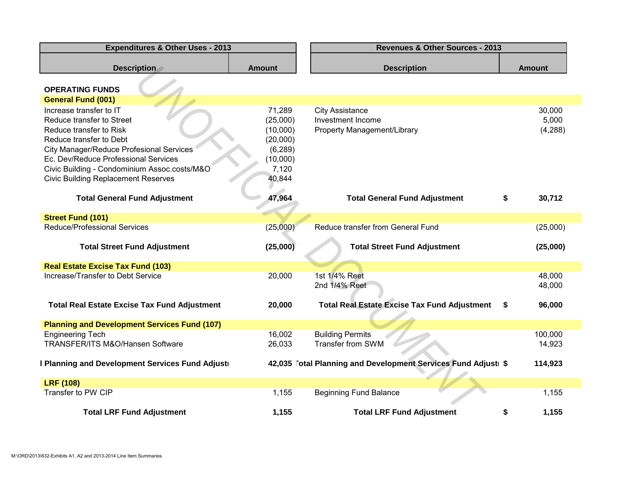| <b>Expenditures &amp; Other Uses - 2013</b>                     | <b>Revenues &amp; Other Sources - 2013</b> |                                                                |               |  |  |
|-----------------------------------------------------------------|--------------------------------------------|----------------------------------------------------------------|---------------|--|--|
| <b>Description</b>                                              | <b>Amount</b>                              | <b>Description</b>                                             | <b>Amount</b> |  |  |
| <b>OPERATING FUNDS</b>                                          |                                            |                                                                |               |  |  |
| <b>General Fund (001)</b>                                       |                                            |                                                                |               |  |  |
| Increase transfer to IT                                         | 71,289                                     | <b>City Assistance</b>                                         | 30,000        |  |  |
| Reduce transfer to Street                                       | (25,000)                                   | Investment Income                                              | 5,000         |  |  |
| Reduce transfer to Risk                                         | (10,000)                                   | Property Management/Library                                    | (4,288)       |  |  |
| Reduce transfer to Debt                                         | (20,000)                                   |                                                                |               |  |  |
| <b>City Manager/Reduce Profesional Services</b>                 | (6, 289)                                   |                                                                |               |  |  |
| Ec. Dev/Reduce Professional Services                            | (10,000)                                   |                                                                |               |  |  |
| Civic Building - Condominium Assoc.costs/M&O                    | 7,120                                      |                                                                |               |  |  |
| <b>Civic Building Replacement Reserves</b>                      | 40,844                                     |                                                                |               |  |  |
|                                                                 |                                            |                                                                |               |  |  |
| <b>Total General Fund Adjustment</b>                            | 47,964                                     | <b>Total General Fund Adjustment</b>                           | \$<br>30,712  |  |  |
|                                                                 |                                            |                                                                |               |  |  |
| <b>Street Fund (101)</b><br><b>Reduce/Professional Services</b> |                                            | Reduce transfer from General Fund                              |               |  |  |
|                                                                 | (25,000)                                   |                                                                | (25,000)      |  |  |
| <b>Total Street Fund Adjustment</b>                             | (25,000)                                   | <b>Total Street Fund Adjustment</b>                            | (25,000)      |  |  |
| <b>Real Estate Excise Tax Fund (103)</b>                        |                                            |                                                                |               |  |  |
| Increase/Transfer to Debt Service                               | 20,000                                     | 1st 1/4% Reet                                                  | 48,000        |  |  |
|                                                                 |                                            | 2nd 1/4% Reet                                                  | 48,000        |  |  |
|                                                                 |                                            |                                                                |               |  |  |
| <b>Total Real Estate Excise Tax Fund Adjustment</b>             | 20,000                                     | <b>Total Real Estate Excise Tax Fund Adjustment</b>            | 96,000<br>S.  |  |  |
|                                                                 |                                            |                                                                |               |  |  |
| <b>Planning and Development Services Fund (107)</b>             |                                            |                                                                |               |  |  |
| <b>Engineering Tech</b>                                         | 16,002                                     | <b>Building Permits</b>                                        | 100,000       |  |  |
| TRANSFER/ITS M&O/Hansen Software                                | 26,033                                     | Transfer from SWM                                              | 14,923        |  |  |
| I Planning and Development Services Fund Adjusti                |                                            | 42,035 Fotal Planning and Development Services Fund Adjusti \$ | 114,923       |  |  |
| <b>LRF (108)</b>                                                |                                            |                                                                |               |  |  |
| Transfer to PW CIP                                              | 1,155                                      | <b>Beginning Fund Balance</b>                                  | 1,155         |  |  |
|                                                                 |                                            |                                                                |               |  |  |
| <b>Total LRF Fund Adjustment</b>                                | 1,155                                      | <b>Total LRF Fund Adjustment</b>                               | 1,155<br>\$   |  |  |
|                                                                 |                                            |                                                                |               |  |  |
|                                                                 |                                            |                                                                |               |  |  |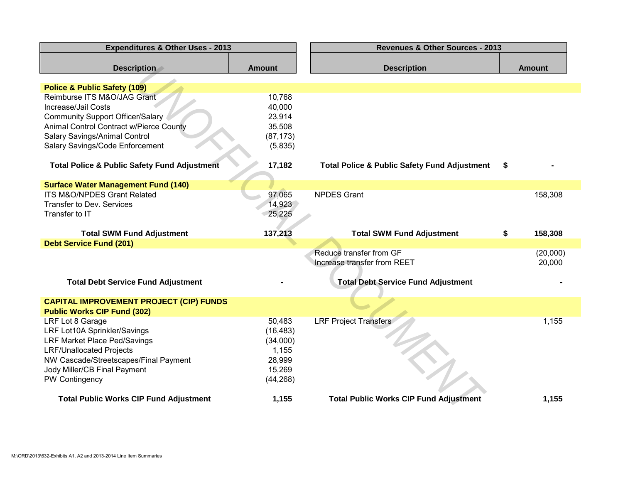| <b>Expenditures &amp; Other Uses - 2013</b>             |               | <b>Revenues &amp; Other Sources - 2013</b>              |                    |
|---------------------------------------------------------|---------------|---------------------------------------------------------|--------------------|
| <b>Description</b>                                      | <b>Amount</b> | <b>Description</b>                                      | <b>Amount</b>      |
| <b>Police &amp; Public Safety (109)</b>                 |               |                                                         |                    |
| Reimburse ITS M&O/JAG Grant                             | 10,768        |                                                         |                    |
| Increase/Jail Costs                                     | 40,000        |                                                         |                    |
| <b>Community Support Officer/Salary</b>                 | 23,914        |                                                         |                    |
| Animal Control Contract w/Pierce County                 | 35,508        |                                                         |                    |
| Salary Savings/Animal Control                           | (87, 173)     |                                                         |                    |
| Salary Savings/Code Enforcement                         | (5,835)       |                                                         |                    |
| <b>Total Police &amp; Public Safety Fund Adjustment</b> | 17,182        | <b>Total Police &amp; Public Safety Fund Adjustment</b> | \$                 |
| <b>Surface Water Management Fund (140)</b>              |               |                                                         |                    |
| ITS M&O/NPDES Grant Related                             | 97,065        | <b>NPDES Grant</b>                                      | 158,308            |
| Transfer to Dev. Services                               | 14,923        |                                                         |                    |
| Transfer to IT                                          | 25,225        |                                                         |                    |
|                                                         |               |                                                         |                    |
| <b>Total SWM Fund Adjustment</b>                        | 137,213       | <b>Total SWM Fund Adjustment</b>                        | \$<br>158,308      |
| <b>Debt Service Fund (201)</b>                          |               |                                                         |                    |
|                                                         |               | Reduce transfer from GF<br>Increase transfer from REET  | (20,000)<br>20,000 |
| <b>Total Debt Service Fund Adjustment</b>               |               | <b>Total Debt Service Fund Adjustment</b>               |                    |
|                                                         |               |                                                         |                    |
| <b>CAPITAL IMPROVEMENT PROJECT (CIP) FUNDS</b>          |               |                                                         |                    |
| <b>Public Works CIP Fund (302)</b><br>LRF Lot 8 Garage  | 50,483        | <b>LRF Project Transfers</b>                            | 1,155              |
| LRF Lot10A Sprinkler/Savings                            | (16, 483)     |                                                         |                    |
| LRF Market Place Ped/Savings                            | (34,000)      |                                                         |                    |
| <b>LRF/Unallocated Projects</b>                         | 1,155         |                                                         |                    |
| NW Cascade/Streetscapes/Final Payment                   | 28,999        |                                                         |                    |
| Jody Miller/CB Final Payment                            | 15,269        |                                                         |                    |
| PW Contingency                                          | (44, 268)     |                                                         |                    |
|                                                         |               |                                                         |                    |
| <b>Total Public Works CIP Fund Adjustment</b>           | 1,155         | <b>Total Public Works CIP Fund Adjustment</b>           | 1,155              |
|                                                         |               |                                                         |                    |
|                                                         |               |                                                         |                    |
|                                                         |               |                                                         |                    |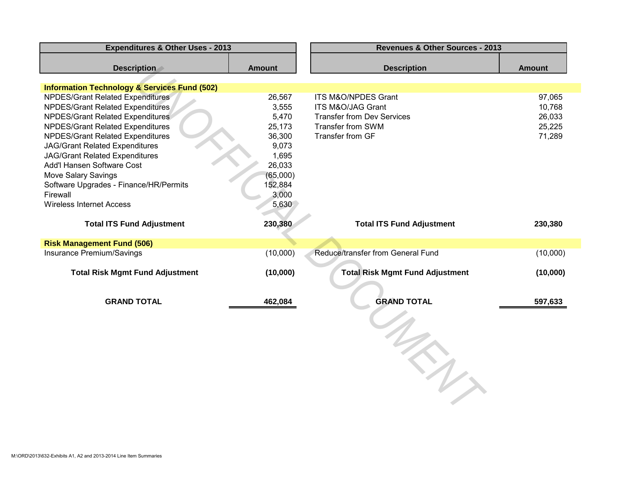| <b>Description</b><br><b>Amount</b>                            |
|----------------------------------------------------------------|
|                                                                |
|                                                                |
| 26,567<br>ITS M&O/NPDES Grant<br>97,065                        |
| ITS M&O/JAG Grant<br>10,768                                    |
| 26,033<br><b>Transfer from Dev Services</b>                    |
| Transfer from SWM<br>25,225                                    |
| 36,300<br>Transfer from GF<br>71,289                           |
| 9,073                                                          |
| 1,695                                                          |
| 26,033                                                         |
| (65,000)                                                       |
| 152,884                                                        |
| 3,000                                                          |
| 5,630                                                          |
| 230,380<br><b>Total ITS Fund Adjustment</b><br>230,380         |
|                                                                |
| (10,000)<br>Reduce/transfer from General Fund<br>(10,000)      |
| (10,000)<br><b>Total Risk Mgmt Fund Adjustment</b><br>(10,000) |
| <b>GRAND TOTAL</b><br>462,084<br>597,633                       |
|                                                                |
| 3,555<br>5,470<br>25,173                                       |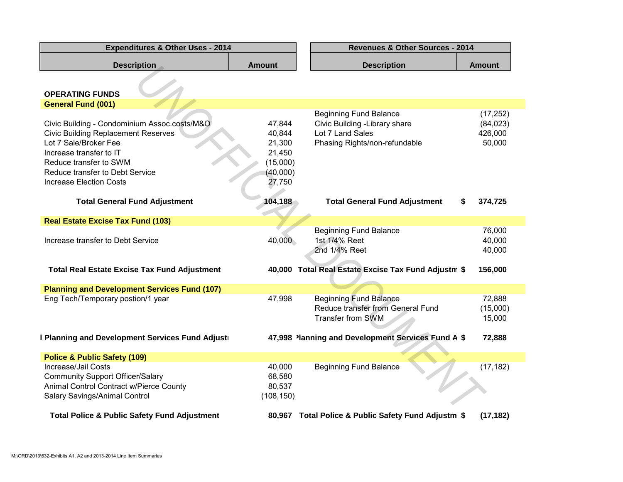| <b>Description</b>                                      | <b>Amount</b> | <b>Description</b>                                  | <b>Amount</b> |
|---------------------------------------------------------|---------------|-----------------------------------------------------|---------------|
|                                                         |               |                                                     |               |
|                                                         |               |                                                     |               |
| <b>OPERATING FUNDS</b>                                  |               |                                                     |               |
| <b>General Fund (001)</b>                               |               |                                                     |               |
|                                                         |               | <b>Beginning Fund Balance</b>                       | (17, 252)     |
| Civic Building - Condominium Assoc.costs/M&O            | 47,844        | Civic Building - Library share                      | (84, 023)     |
| <b>Civic Building Replacement Reserves</b>              | 40,844        | Lot 7 Land Sales                                    | 426,000       |
| Lot 7 Sale/Broker Fee                                   | 21,300        | Phasing Rights/non-refundable                       | 50,000        |
| Increase transfer to IT                                 | 21,450        |                                                     |               |
| Reduce transfer to SWM                                  | (15,000)      |                                                     |               |
| Reduce transfer to Debt Service                         | (40,000)      |                                                     |               |
| <b>Increase Election Costs</b>                          | 27,750        |                                                     |               |
|                                                         |               |                                                     |               |
| <b>Total General Fund Adjustment</b>                    | 104,188       | <b>Total General Fund Adjustment</b><br>S           | 374,725       |
|                                                         |               |                                                     |               |
| <b>Real Estate Excise Tax Fund (103)</b>                |               |                                                     |               |
|                                                         |               | <b>Beginning Fund Balance</b>                       | 76,000        |
| Increase transfer to Debt Service                       | 40,000        | 1st 1/4% Reet                                       | 40,000        |
|                                                         |               | 2nd 1/4% Reet                                       | 40,000        |
|                                                         |               |                                                     |               |
| <b>Total Real Estate Excise Tax Fund Adjustment</b>     |               | 40,000 Total Real Estate Excise Tax Fund Adjustm \$ | 156,000       |
|                                                         |               |                                                     |               |
| <b>Planning and Development Services Fund (107)</b>     |               |                                                     |               |
| Eng Tech/Temporary postion/1 year                       | 47,998        | <b>Beginning Fund Balance</b>                       | 72,888        |
|                                                         |               | Reduce transfer from General Fund                   | (15,000)      |
|                                                         |               | Transfer from SWM                                   | 15,000        |
| I Planning and Development Services Fund Adjusti        |               | 47,998 Planning and Development Services Fund A \$  | 72,888        |
|                                                         |               |                                                     |               |
| <b>Police &amp; Public Safety (109)</b>                 |               |                                                     |               |
| Increase/Jail Costs                                     | 40,000        | <b>Beginning Fund Balance</b>                       | (17, 182)     |
| <b>Community Support Officer/Salary</b>                 | 68,580        |                                                     |               |
| Animal Control Contract w/Pierce County                 | 80,537        |                                                     |               |
| Salary Savings/Animal Control                           | (108, 150)    |                                                     |               |
|                                                         |               |                                                     |               |
| <b>Total Police &amp; Public Safety Fund Adjustment</b> |               | 80,967 Total Police & Public Safety Fund Adjustm \$ | (17, 182)     |
|                                                         |               |                                                     |               |
|                                                         |               |                                                     |               |